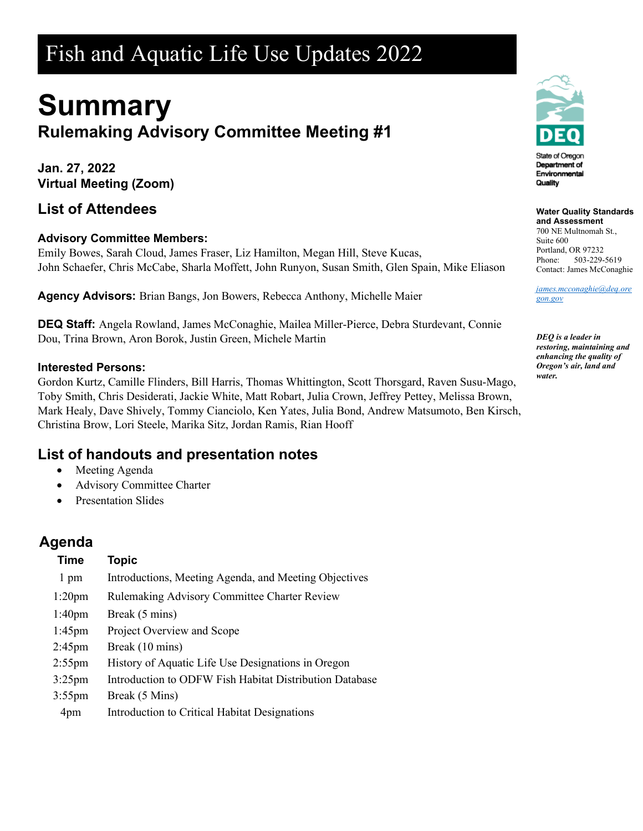# Fish and Aquatic Life Use Updates 2022

# **Summary Rulemaking Advisory Committee Meeting #1**

**Jan. 27, 2022 Virtual Meeting (Zoom)**

#### **List of Attendees**

#### **Advisory Committee Members:**

Emily Bowes, Sarah Cloud, James Fraser, Liz Hamilton, Megan Hill, Steve Kucas, John Schaefer, Chris McCabe, Sharla Moffett, John Runyon, Susan Smith, Glen Spain, Mike Eliason

**Agency Advisors:** Brian Bangs, Jon Bowers, Rebecca Anthony, Michelle Maier

**DEQ Staff:** Angela Rowland, James McConaghie, Mailea Miller-Pierce, Debra Sturdevant, Connie Dou, Trina Brown, Aron Borok, Justin Green, Michele Martin

#### **Interested Persons:**

Gordon Kurtz, Camille Flinders, Bill Harris, Thomas Whittington, Scott Thorsgard, Raven Susu-Mago, Toby Smith, Chris Desiderati, Jackie White, Matt Robart, Julia Crown, Jeffrey Pettey, Melissa Brown, Mark Healy, Dave Shively, Tommy Cianciolo, Ken Yates, Julia Bond, Andrew Matsumoto, Ben Kirsch, Christina Brow, Lori Steele, Marika Sitz, Jordan Ramis, Rian Hooff

#### **List of handouts and presentation notes**

- Meeting Agenda
- Advisory Committee Charter
- Presentation Slides

## **Agenda**

| <b>Time</b>        | <b>Topic</b>                                            |
|--------------------|---------------------------------------------------------|
| 1 pm               | Introductions, Meeting Agenda, and Meeting Objectives   |
| $1:20$ pm          | <b>Rulemaking Advisory Committee Charter Review</b>     |
| 1:40 <sub>pm</sub> | Break (5 mins)                                          |
| $1:45 \text{pm}$   | Project Overview and Scope                              |
| $2:45$ pm          | Break (10 mins)                                         |
| $2:55$ pm          | History of Aquatic Life Use Designations in Oregon      |
| $3:25$ pm          | Introduction to ODFW Fish Habitat Distribution Database |
| $3:55$ pm          | Break (5 Mins)                                          |
| 4pm                | Introduction to Critical Habitat Designations           |



#### **Water Quality Standards**

**and Assessment** 700 NE Multnomah St., Suite 600 Portland, OR 97232 Phone: 503-229-5619 Contact: James McConaghie

*[james.mcconaghie@deq.ore](mailto:james.mcconaghie@deq.oregon.gov) [gon.gov](mailto:james.mcconaghie@deq.oregon.gov)*

*DEQ is a leader in restoring, maintaining and enhancing the quality of Oregon's air, land and water.*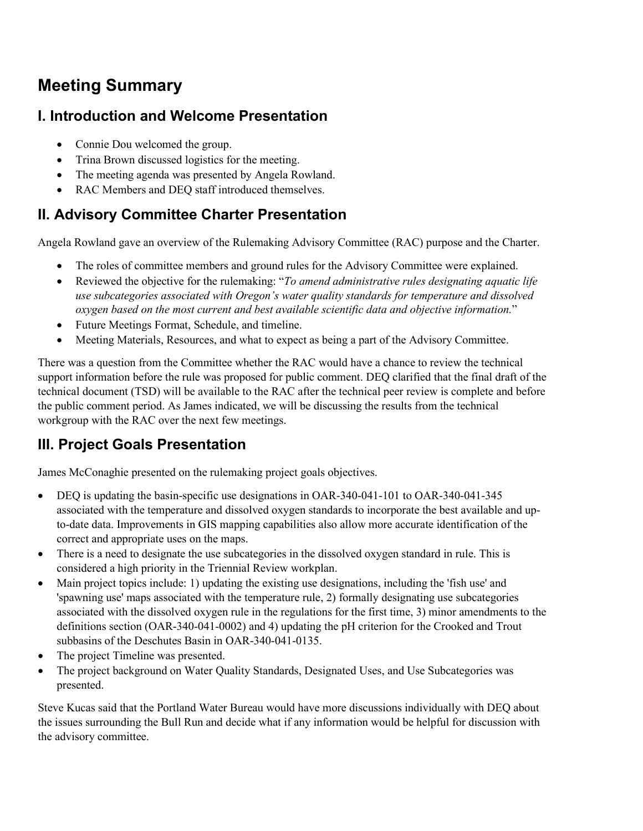# **Meeting Summary**

#### **I. Introduction and Welcome Presentation**

- Connie Dou welcomed the group.
- Trina Brown discussed logistics for the meeting.
- The meeting agenda was presented by Angela Rowland.
- RAC Members and DEO staff introduced themselves.

## **II. Advisory Committee Charter Presentation**

Angela Rowland gave an overview of the Rulemaking Advisory Committee (RAC) purpose and the Charter.

- The roles of committee members and ground rules for the Advisory Committee were explained.
- Reviewed the objective for the rulemaking: "*To amend administrative rules designating aquatic life use subcategories associated with Oregon's water quality standards for temperature and dissolved oxygen based on the most current and best available scientific data and objective information.*"
- Future Meetings Format, Schedule, and timeline.
- Meeting Materials, Resources, and what to expect as being a part of the Advisory Committee.

There was a question from the Committee whether the RAC would have a chance to review the technical support information before the rule was proposed for public comment. DEQ clarified that the final draft of the technical document (TSD) will be available to the RAC after the technical peer review is complete and before the public comment period. As James indicated, we will be discussing the results from the technical workgroup with the RAC over the next few meetings.

## **III. Project Goals Presentation**

James McConaghie presented on the rulemaking project goals objectives.

- DEQ is updating the basin-specific use designations in OAR-340-041-101 to OAR-340-041-345 associated with the temperature and dissolved oxygen standards to incorporate the best available and upto-date data. Improvements in GIS mapping capabilities also allow more accurate identification of the correct and appropriate uses on the maps.
- There is a need to designate the use subcategories in the dissolved oxygen standard in rule. This is considered a high priority in the Triennial Review workplan.
- Main project topics include: 1) updating the existing use designations, including the 'fish use' and 'spawning use' maps associated with the temperature rule, 2) formally designating use subcategories associated with the dissolved oxygen rule in the regulations for the first time, 3) minor amendments to the definitions section (OAR-340-041-0002) and 4) updating the pH criterion for the Crooked and Trout subbasins of the Deschutes Basin in OAR-340-041-0135.
- The project Timeline was presented.
- The project background on Water Quality Standards, Designated Uses, and Use Subcategories was presented.

Steve Kucas said that the Portland Water Bureau would have more discussions individually with DEQ about the issues surrounding the Bull Run and decide what if any information would be helpful for discussion with the advisory committee.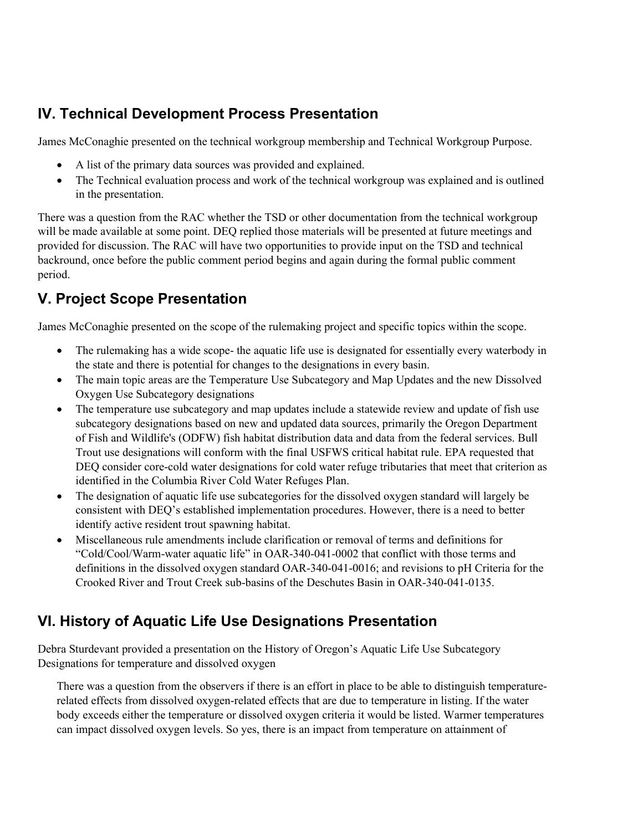### **IV. Technical Development Process Presentation**

James McConaghie presented on the technical workgroup membership and Technical Workgroup Purpose.

- A list of the primary data sources was provided and explained.
- The Technical evaluation process and work of the technical workgroup was explained and is outlined in the presentation.

There was a question from the RAC whether the TSD or other documentation from the technical workgroup will be made available at some point. DEQ replied those materials will be presented at future meetings and provided for discussion. The RAC will have two opportunities to provide input on the TSD and technical backround, once before the public comment period begins and again during the formal public comment period.

# **V. Project Scope Presentation**

James McConaghie presented on the scope of the rulemaking project and specific topics within the scope.

- The rulemaking has a wide scope- the aquatic life use is designated for essentially every waterbody in the state and there is potential for changes to the designations in every basin.
- The main topic areas are the Temperature Use Subcategory and Map Updates and the new Dissolved Oxygen Use Subcategory designations
- The temperature use subcategory and map updates include a statewide review and update of fish use subcategory designations based on new and updated data sources, primarily the Oregon Department of Fish and Wildlife's (ODFW) fish habitat distribution data and data from the federal services. Bull Trout use designations will conform with the final USFWS critical habitat rule. EPA requested that DEQ consider core-cold water designations for cold water refuge tributaries that meet that criterion as identified in the Columbia River Cold Water Refuges Plan.
- The designation of aquatic life use subcategories for the dissolved oxygen standard will largely be consistent with DEQ's established implementation procedures. However, there is a need to better identify active resident trout spawning habitat.
- Miscellaneous rule amendments include clarification or removal of terms and definitions for "Cold/Cool/Warm-water aquatic life" in OAR-340-041-0002 that conflict with those terms and definitions in the dissolved oxygen standard OAR-340-041-0016; and revisions to pH Criteria for the Crooked River and Trout Creek sub-basins of the Deschutes Basin in OAR-340-041-0135.

## **VI. History of Aquatic Life Use Designations Presentation**

Debra Sturdevant provided a presentation on the History of Oregon's Aquatic Life Use Subcategory Designations for temperature and dissolved oxygen

There was a question from the observers if there is an effort in place to be able to distinguish temperaturerelated effects from dissolved oxygen-related effects that are due to temperature in listing. If the water body exceeds either the temperature or dissolved oxygen criteria it would be listed. Warmer temperatures can impact dissolved oxygen levels. So yes, there is an impact from temperature on attainment of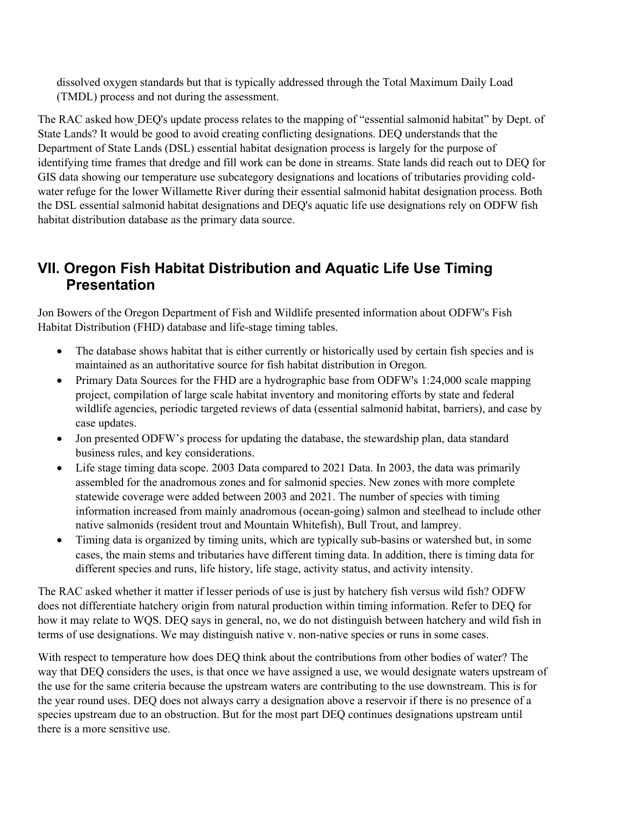dissolved oxygen standards but that is typically addressed through the Total Maximum Daily Load (TMDL) process and not during the assessment.

The RAC asked how DEQ's update process relates to the mapping of "essential salmonid habitat" by Dept. of State Lands? It would be good to avoid creating conflicting designations. DEQ understands that the Department of State Lands (DSL) essential habitat designation process is largely for the purpose of identifying time frames that dredge and fill work can be done in streams. State lands did reach out to DEQ for GIS data showing our temperature use subcategory designations and locations of tributaries providing coldwater refuge for the lower Willamette River during their essential salmonid habitat designation process. Both the DSL essential salmonid habitat designations and DEQ's aquatic life use designations rely on ODFW fish habitat distribution database as the primary data source.

#### **VII. Oregon Fish Habitat Distribution and Aquatic Life Use Timing Presentation**

Jon Bowers of the Oregon Department of Fish and Wildlife presented information about ODFW's Fish Habitat Distribution (FHD) database and life-stage timing tables.

- The database shows habitat that is either currently or historically used by certain fish species and is maintained as an authoritative source for fish habitat distribution in Oregon.
- Primary Data Sources for the FHD are a hydrographic base from ODFW's 1:24,000 scale mapping project, compilation of large scale habitat inventory and monitoring efforts by state and federal wildlife agencies, periodic targeted reviews of data (essential salmonid habitat, barriers), and case by case updates.
- Jon presented ODFW's process for updating the database, the stewardship plan, data standard business rules, and key considerations.
- Life stage timing data scope. 2003 Data compared to 2021 Data. In 2003, the data was primarily assembled for the anadromous zones and for salmonid species. New zones with more complete statewide coverage were added between 2003 and 2021. The number of species with timing information increased from mainly anadromous (ocean-going) salmon and steelhead to include other native salmonids (resident trout and Mountain Whitefish), Bull Trout, and lamprey.
- Timing data is organized by timing units, which are typically sub-basins or watershed but, in some cases, the main stems and tributaries have different timing data. In addition, there is timing data for different species and runs, life history, life stage, activity status, and activity intensity.

The RAC asked whether it matter if lesser periods of use is just by hatchery fish versus wild fish? ODFW does not differentiate hatchery origin from natural production within timing information. Refer to DEQ for how it may relate to WQS. DEQ says in general, no, we do not distinguish between hatchery and wild fish in terms of use designations. We may distinguish native v. non-native species or runs in some cases.

With respect to temperature how does DEQ think about the contributions from other bodies of water? The way that DEQ considers the uses, is that once we have assigned a use, we would designate waters upstream of the use for the same criteria because the upstream waters are contributing to the use downstream. This is for the year round uses. DEQ does not always carry a designation above a reservoir if there is no presence of a species upstream due to an obstruction. But for the most part DEQ continues designations upstream until there is a more sensitive use.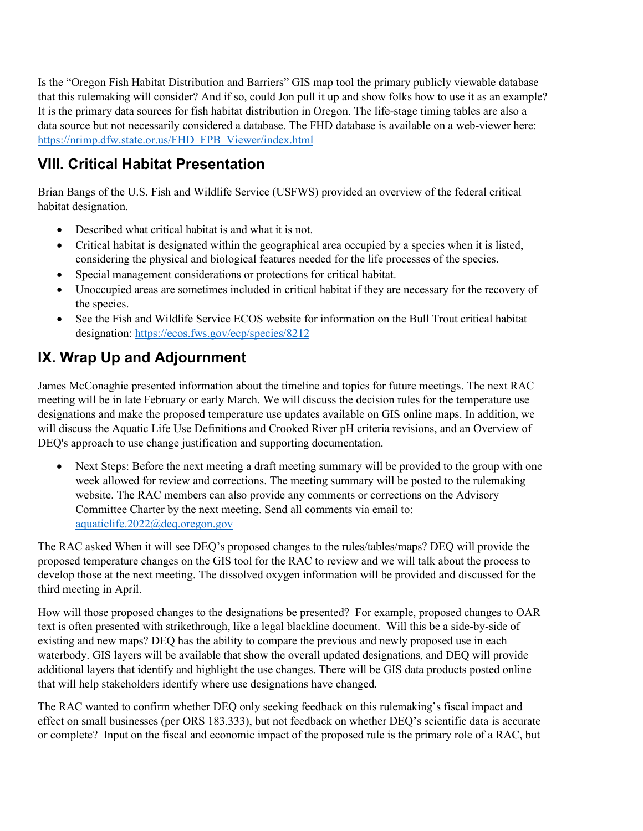Is the "Oregon Fish Habitat Distribution and Barriers" GIS map tool the primary publicly viewable database that this rulemaking will consider? And if so, could Jon pull it up and show folks how to use it as an example? It is the primary data sources for fish habitat distribution in Oregon. The life-stage timing tables are also a data source but not necessarily considered a database. The FHD database is available on a web-viewer here: [https://nrimp.dfw.state.or.us/FHD\\_FPB\\_Viewer/index.html](https://nrimp.dfw.state.or.us/FHD_FPB_Viewer/index.html)

# **VIII. Critical Habitat Presentation**

Brian Bangs of the U.S. Fish and Wildlife Service (USFWS) provided an overview of the federal critical habitat designation.

- Described what critical habitat is and what it is not.
- Critical habitat is designated within the geographical area occupied by a species when it is listed, considering the physical and biological features needed for the life processes of the species.
- Special management considerations or protections for critical habitat.
- Unoccupied areas are sometimes included in critical habitat if they are necessary for the recovery of the species.
- See the Fish and Wildlife Service ECOS website for information on the Bull Trout critical habitat designation:<https://ecos.fws.gov/ecp/species/8212>

# **IX. Wrap Up and Adjournment**

James McConaghie presented information about the timeline and topics for future meetings. The next RAC meeting will be in late February or early March. We will discuss the decision rules for the temperature use designations and make the proposed temperature use updates available on GIS online maps. In addition, we will discuss the Aquatic Life Use Definitions and Crooked River pH criteria revisions, and an Overview of DEQ's approach to use change justification and supporting documentation.

• Next Steps: Before the next meeting a draft meeting summary will be provided to the group with one week allowed for review and corrections. The meeting summary will be posted to the rulemaking website. The RAC members can also provide any comments or corrections on the Advisory Committee Charter by the next meeting. Send all comments via email to: [aquaticlife.2022@deq.oregon.gov](mailto:aquaticlife.2022@deq.oregon.gov)

The RAC asked When it will see DEQ's proposed changes to the rules/tables/maps? DEQ will provide the proposed temperature changes on the GIS tool for the RAC to review and we will talk about the process to develop those at the next meeting. The dissolved oxygen information will be provided and discussed for the third meeting in April.

How will those proposed changes to the designations be presented? For example, proposed changes to OAR text is often presented with strikethrough, like a legal blackline document. Will this be a side-by-side of existing and new maps? DEQ has the ability to compare the previous and newly proposed use in each waterbody. GIS layers will be available that show the overall updated designations, and DEQ will provide additional layers that identify and highlight the use changes. There will be GIS data products posted online that will help stakeholders identify where use designations have changed.

The RAC wanted to confirm whether DEQ only seeking feedback on this rulemaking's fiscal impact and effect on small businesses (per ORS 183.333), but not feedback on whether DEQ's scientific data is accurate or complete? Input on the fiscal and economic impact of the proposed rule is the primary role of a RAC, but